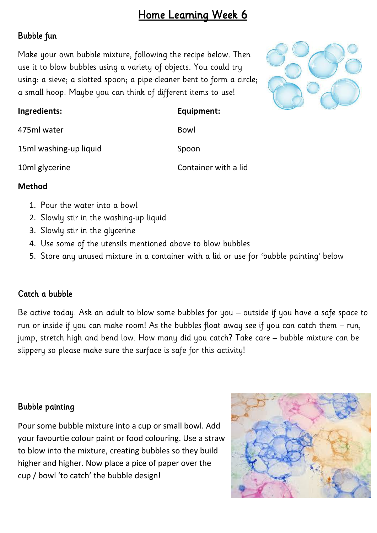# Home Learning Week 6

## Bubble fun

Make your own bubble mixture, following the recipe below. Then use it to blow bubbles using a variety of objects. You could try using: a sieve; a slotted spoon; a pipe-cleaner bent to form a circle; a small hoop. Maybe you can think of different items to use!



| Ingredients:           | Equipment:           |
|------------------------|----------------------|
| 475ml water            | Bowl                 |
| 15ml washing-up liquid | Spoon                |
| 10ml glycerine         | Container with a lid |

#### **Method**

- 1. Pour the water into a bowl
- 2. Slowly stir in the washing-up liquid
- 3. Slowly stir in the glycerine
- 4. Use some of the utensils mentioned above to blow bubbles
- 5. Store any unused mixture in a container with a lid or use for 'bubble painting' below

### Catch a bubble

Be active today. Ask an adult to blow some bubbles for you – outside if you have a safe space to run or inside if you can make room! As the bubbles float away see if you can catch them – run, jump, stretch high and bend low. How many did you catch? Take care – bubble mixture can be slippery so please make sure the surface is safe for this activity!

### Bubble painting

Pour some bubble mixture into a cup or small bowl. Add your favourtie colour paint or food colouring. Use a straw to blow into the mixture, creating bubbles so they build higher and higher. Now place a pice of paper over the cup / bowl 'to catch' the bubble design!